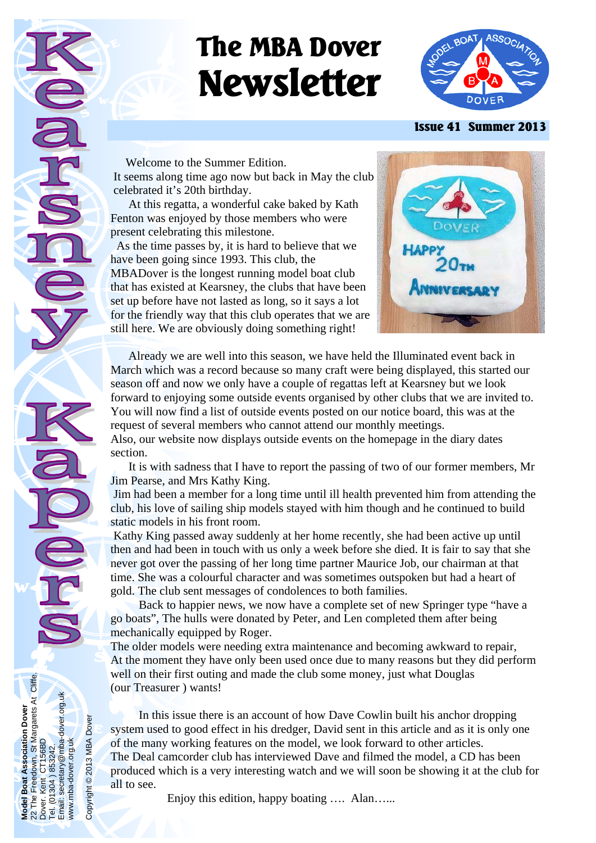# **The MBA Dover Newsletter**



#### **Issue 41 Summer 2013**

 Welcome to the Summer Edition. It seems along time ago now but back in May the club celebrated it's 20th birthday.

 At this regatta, a wonderful cake baked by Kath Fenton was enjoyed by those members who were present celebrating this milestone.

 As the time passes by, it is hard to believe that we have been going since 1993. This club, the MBADover is the longest running model boat club that has existed at Kearsney, the clubs that have been set up before have not lasted as long, so it says a lot for the friendly way that this club operates that we are still here. We are obviously doing something right!



 Already we are well into this season, we have held the Illuminated event back in March which was a record because so many craft were being displayed, this started our season off and now we only have a couple of regattas left at Kearsney but we look forward to enjoying some outside events organised by other clubs that we are invited to. You will now find a list of outside events posted on our notice board, this was at the request of several members who cannot attend our monthly meetings.

Also, our website now displays outside events on the homepage in the diary dates section.

 It is with sadness that I have to report the passing of two of our former members, Mr Jim Pearse, and Mrs Kathy King.

 Jim had been a member for a long time until ill health prevented him from attending the club, his love of sailing ship models stayed with him though and he continued to build static models in his front room.

 Kathy King passed away suddenly at her home recently, she had been active up until then and had been in touch with us only a week before she died. It is fair to say that she never got over the passing of her long time partner Maurice Job, our chairman at that time. She was a colourful character and was sometimes outspoken but had a heart of gold. The club sent messages of condolences to both families.

 Back to happier news, we now have a complete set of new Springer type "have a go boats", The hulls were donated by Peter, and Len completed them after being mechanically equipped by Roger.

The older models were needing extra maintenance and becoming awkward to repair, At the moment they have only been used once due to many reasons but they did perform well on their first outing and made the club some money, just what Douglas (our Treasurer ) wants!

 In this issue there is an account of how Dave Cowlin built his anchor dropping system used to good effect in his dredger, David sent in this article and as it is only one of the many working features on the model, we look forward to other articles. The Deal camcorder club has interviewed Dave and filmed the model, a CD has been produced which is a very interesting watch and we will soon be showing it at the club for all to see.

Enjoy this edition, happy boating .... Alan…...

**Model Boat Association Dover**  22 The Freedown, St Margarets At Cliffe.

Boat

Model<br>22 The I<br>Dover, M

**Association Dover** 

Dover. Kent CT156BD Tel. (01304 ) 853242.

Freedown, St Margarets At Cliffe.<br>Kent CT156BD

Email: secretary@mba-dover.org.uk

ntent om 1992<br>1304 ) 853242.<br>secretary@mba-dover.org.uk

Tel. (01)<br>Email:  $\bar{\mathsf{S}}$ 

www.mba-dover.org.uk

www.mba-dover.org.uk

Copyright © 2013 MBA Dover

Copyright<sup>©</sup>

2013 MBA Dover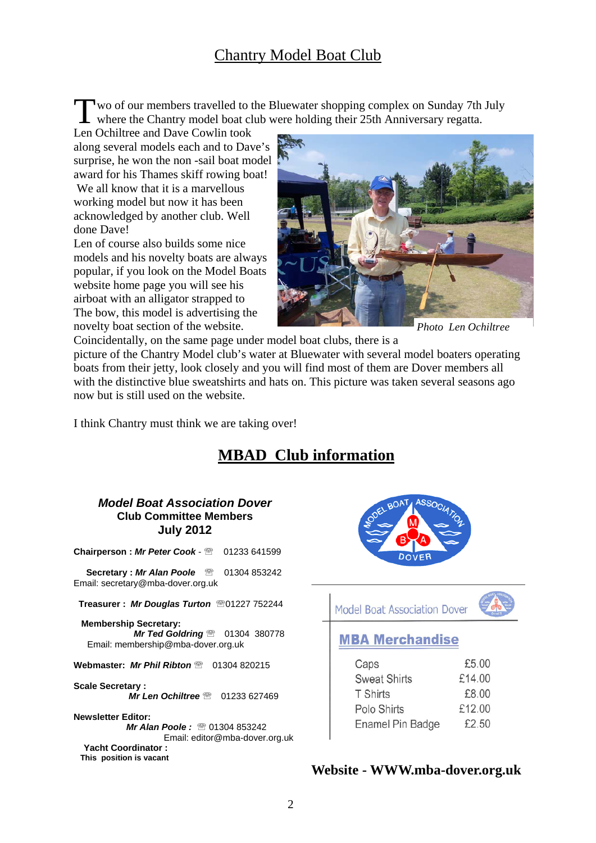# Chantry Model Boat Club

Two of our members travelled to the Bluewater shopping complex on Sunday 7th July where the Chantry model boat club were holding their 25th Anniversary regatta.

Len Ochiltree and Dave Cowlin took along several models each and to Dave's surprise, he won the non -sail boat model award for his Thames skiff rowing boat! We all know that it is a marvellous working model but now it has been acknowledged by another club. Well done Dave!

Len of course also builds some nice models and his novelty boats are always popular, if you look on the Model Boats website home page you will see his airboat with an alligator strapped to The bow, this model is advertising the novelty boat section of the website.



*Photo Len Ochiltree* 

Coincidentally, on the same page under model boat clubs, there is a picture of the Chantry Model club's water at Bluewater with several model boaters operating boats from their jetty, look closely and you will find most of them are Dover members all with the distinctive blue sweatshirts and hats on. This picture was taken several seasons ago now but is still used on the website.

I think Chantry must think we are taking over!

# **MBAD Club information**

#### *Model Boat Association Dover*  **Club Committee Members July 2012**

**Chairperson : Mr Peter Cook - 20 01233 641599** 

**Secretary : Mr Alan Poole** 2 01304 853242 Email: secretary@mba-dover.org.uk

 **Treasurer :** *Mr Douglas Turton* 01227 752244

 **Membership Secretary:**  *Mr Ted Goldring* <sup>2</sup> 01304 380778 Email: membership@mba-dover.org.uk

**Webmaster: Mr Phil Ribton <sup>®</sup> 01304 820215** 

**Scale Secretary :**  *Mr Len Ochiltree* <sup>2</sup> 01233 627469

**Newsletter Editor:**  *Mr Alan Poole:* <sup>2</sup> 01304 853242 Email: editor@mba-dover.org.uk  **Yacht Coordinator : This position is vacant** 



Model Boat Association Dover



## **MBA Merchandise**

| Caps                | £5.00  |
|---------------------|--------|
| <b>Sweat Shirts</b> | £14.00 |
| <b>T</b> Shirts     | £8.00  |
| Polo Shirts         | £12.00 |
| Enamel Pin Badge    | £2,50  |

#### **Website - WWW.mba-dover.org.uk**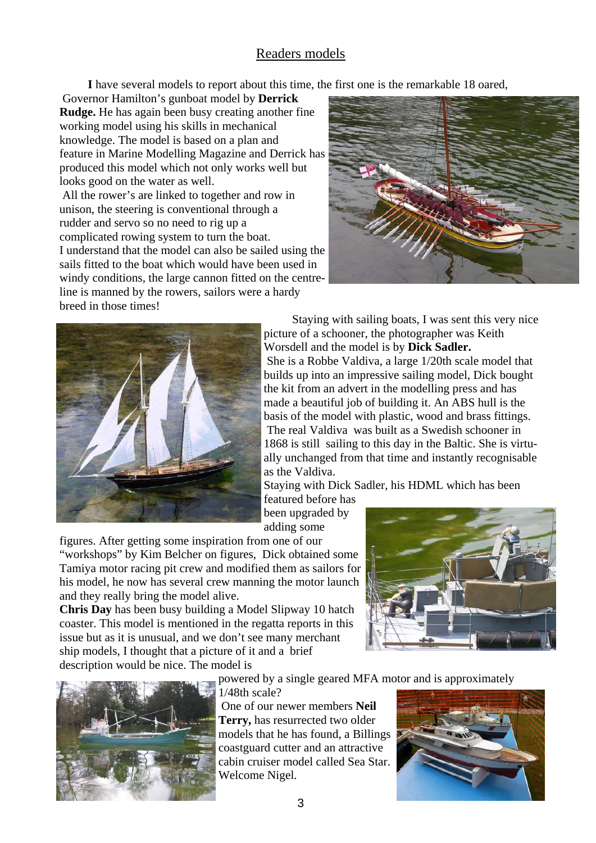### Readers models

**I** have several models to report about this time, the first one is the remarkable 18 oared,

 Governor Hamilton's gunboat model by **Derrick Rudge.** He has again been busy creating another fine working model using his skills in mechanical knowledge. The model is based on a plan and feature in Marine Modelling Magazine and Derrick has produced this model which not only works well but looks good on the water as well.

 All the rower's are linked to together and row in unison, the steering is conventional through a rudder and servo so no need to rig up a complicated rowing system to turn the boat. I understand that the model can also be sailed using the sails fitted to the boat which would have been used in windy conditions, the large cannon fitted on the centreline is manned by the rowers, sailors were a hardy breed in those times!





 Staying with sailing boats, I was sent this very nice picture of a schooner, the photographer was Keith Worsdell and the model is by **Dick Sadler.**  She is a Robbe Valdiva, a large 1/20th scale model that builds up into an impressive sailing model, Dick bought the kit from an advert in the modelling press and has made a beautiful job of building it. An ABS hull is the basis of the model with plastic, wood and brass fittings. The real Valdiva was built as a Swedish schooner in 1868 is still sailing to this day in the Baltic. She is virtually unchanged from that time and instantly recognisable as the Valdiva.

Staying with Dick Sadler, his HDML which has been featured before has

been upgraded by adding some

figures. After getting some inspiration from one of our

"workshops" by Kim Belcher on figures, Dick obtained some Tamiya motor racing pit crew and modified them as sailors for his model, he now has several crew manning the motor launch and they really bring the model alive.

**Chris Day** has been busy building a Model Slipway 10 hatch coaster. This model is mentioned in the regatta reports in this issue but as it is unusual, and we don't see many merchant ship models, I thought that a picture of it and a brief description would be nice. The model is

1/48th scale?





powered by a single geared MFA motor and is approximately

 One of our newer members **Neil Terry,** has resurrected two older models that he has found, a Billings coastguard cutter and an attractive cabin cruiser model called Sea Star. Welcome Nigel.

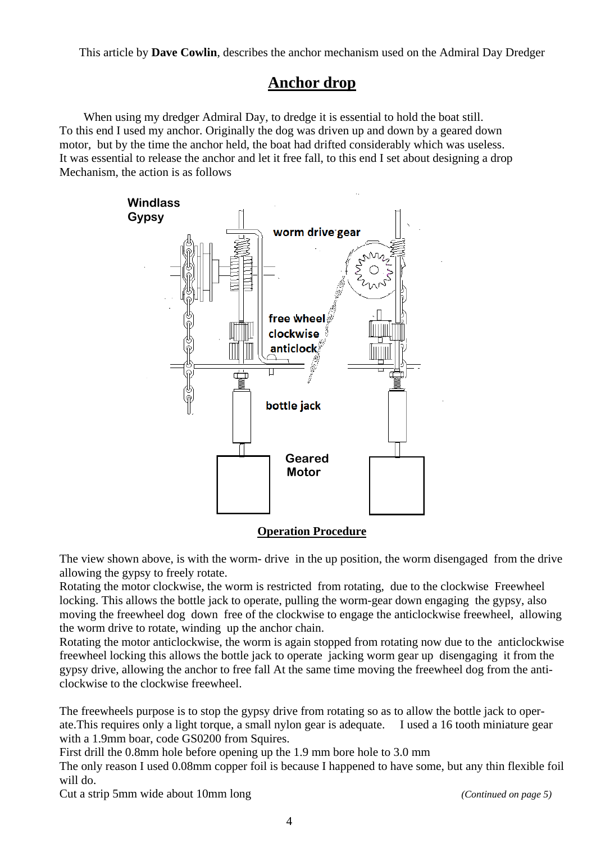This article by **Dave Cowlin**, describes the anchor mechanism used on the Admiral Day Dredger

## **Anchor drop**

 When using my dredger Admiral Day, to dredge it is essential to hold the boat still. To this end I used my anchor. Originally the dog was driven up and down by a geared down motor, but by the time the anchor held, the boat had drifted considerably which was useless. It was essential to release the anchor and let it free fall, to this end I set about designing a drop Mechanism, the action is as follows



#### **Operation Procedure**

The view shown above, is with the worm- drive in the up position, the worm disengaged from the drive allowing the gypsy to freely rotate.

Rotating the motor clockwise, the worm is restricted from rotating, due to the clockwise Freewheel locking. This allows the bottle jack to operate, pulling the worm-gear down engaging the gypsy, also moving the freewheel dog down free of the clockwise to engage the anticlockwise freewheel, allowing the worm drive to rotate, winding up the anchor chain.

Rotating the motor anticlockwise, the worm is again stopped from rotating now due to the anticlockwise freewheel locking this allows the bottle jack to operate jacking worm gear up disengaging it from the gypsy drive, allowing the anchor to free fall At the same time moving the freewheel dog from the anticlockwise to the clockwise freewheel.

The freewheels purpose is to stop the gypsy drive from rotating so as to allow the bottle jack to operate.This requires only a light torque, a small nylon gear is adequate. I used a 16 tooth miniature gear with a 1.9mm boar, code GS0200 from Squires.

First drill the 0.8mm hole before opening up the 1.9 mm bore hole to 3.0 mm

The only reason I used 0.08mm copper foil is because I happened to have some, but any thin flexible foil will do.

Cut a strip 5mm wide about 10mm long *(Continued on page 5)*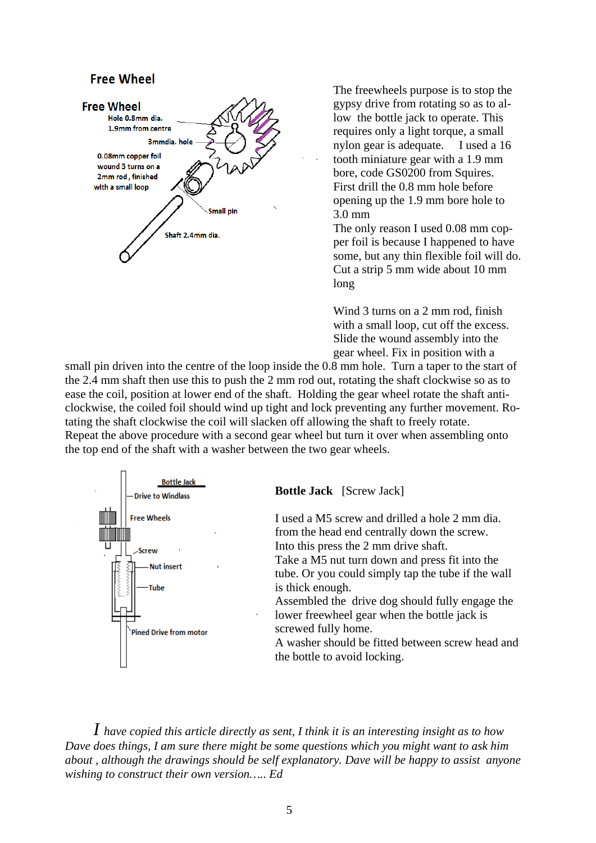#### **Free Wheel**



The freewheels purpose is to stop the gypsy drive from rotating so as to allow the bottle jack to operate. This requires only a light torque, a small nylon gear is adequate. I used a 16 tooth miniature gear with a 1.9 mm bore, code GS0200 from Squires. First drill the 0.8 mm hole before opening up the 1.9 mm bore hole to 3.0 mm

The only reason I used 0.08 mm copper foil is because I happened to have some, but any thin flexible foil will do. Cut a strip 5 mm wide about 10 mm long

Wind 3 turns on a 2 mm rod, finish with a small loop, cut off the excess. Slide the wound assembly into the gear wheel. Fix in position with a

small pin driven into the centre of the loop inside the 0.8 mm hole. Turn a taper to the start of the 2.4 mm shaft then use this to push the 2 mm rod out, rotating the shaft clockwise so as to ease the coil, position at lower end of the shaft. Holding the gear wheel rotate the shaft anticlockwise, the coiled foil should wind up tight and lock preventing any further movement. Rotating the shaft clockwise the coil will slacken off allowing the shaft to freely rotate. Repeat the above procedure with a second gear wheel but turn it over when assembling onto the top end of the shaft with a washer between the two gear wheels.



*I have copied this article directly as sent, I think it is an interesting insight as to how Dave does things, I am sure there might be some questions which you might want to ask him about , although the drawings should be self explanatory. Dave will be happy to assist anyone wishing to construct their own version….. Ed*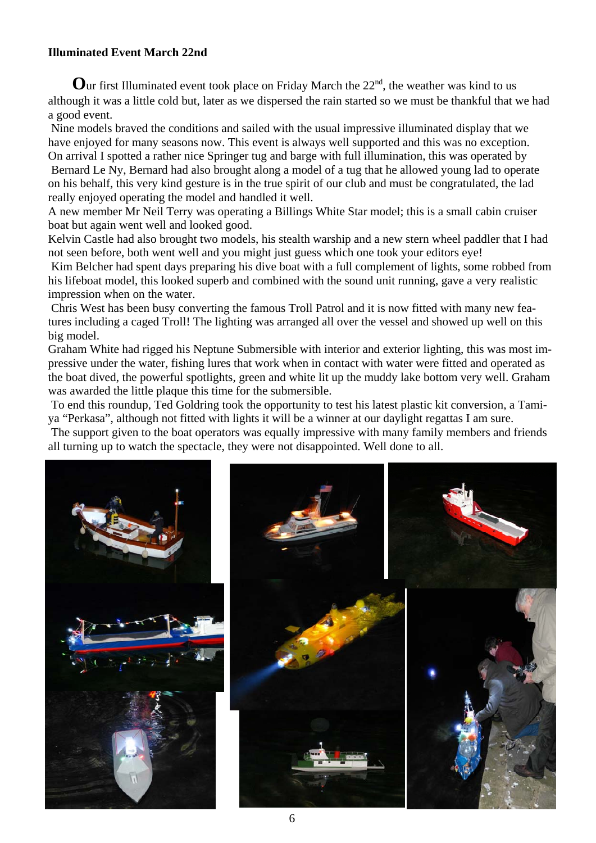#### **Illuminated Event March 22nd**

Our first Illuminated event took place on Friday March the 22<sup>nd</sup>, the weather was kind to us although it was a little cold but, later as we dispersed the rain started so we must be thankful that we had a good event.

 Nine models braved the conditions and sailed with the usual impressive illuminated display that we have enjoyed for many seasons now. This event is always well supported and this was no exception.

On arrival I spotted a rather nice Springer tug and barge with full illumination, this was operated by Bernard Le Ny, Bernard had also brought along a model of a tug that he allowed young lad to operate on his behalf, this very kind gesture is in the true spirit of our club and must be congratulated, the lad really enjoyed operating the model and handled it well.

A new member Mr Neil Terry was operating a Billings White Star model; this is a small cabin cruiser boat but again went well and looked good.

Kelvin Castle had also brought two models, his stealth warship and a new stern wheel paddler that I had not seen before, both went well and you might just guess which one took your editors eye!

 Kim Belcher had spent days preparing his dive boat with a full complement of lights, some robbed from his lifeboat model, this looked superb and combined with the sound unit running, gave a very realistic impression when on the water.

 Chris West has been busy converting the famous Troll Patrol and it is now fitted with many new features including a caged Troll! The lighting was arranged all over the vessel and showed up well on this big model.

Graham White had rigged his Neptune Submersible with interior and exterior lighting, this was most impressive under the water, fishing lures that work when in contact with water were fitted and operated as the boat dived, the powerful spotlights, green and white lit up the muddy lake bottom very well. Graham was awarded the little plaque this time for the submersible.

 To end this roundup, Ted Goldring took the opportunity to test his latest plastic kit conversion, a Tamiya "Perkasa", although not fitted with lights it will be a winner at our daylight regattas I am sure.

The support given to the boat operators was equally impressive with many family members and friends all turning up to watch the spectacle, they were not disappointed. Well done to all.

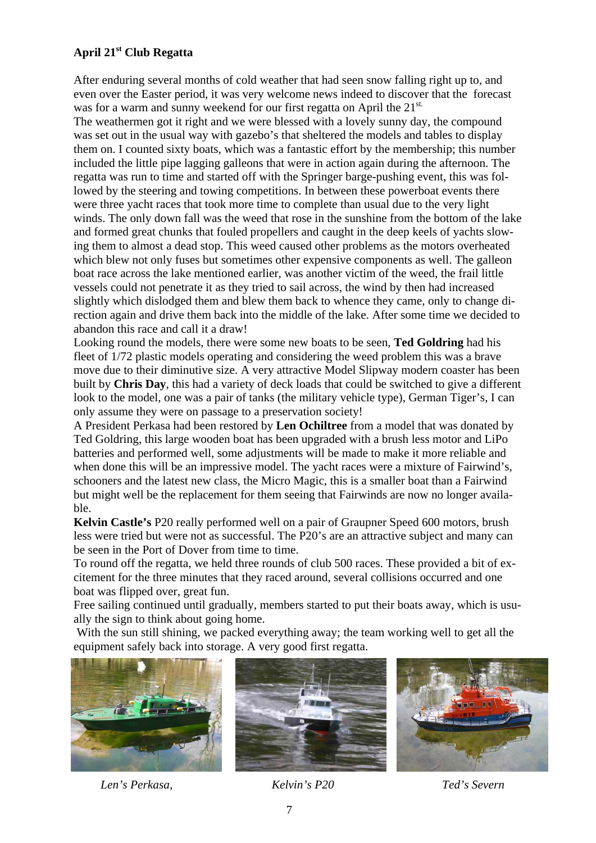#### **April 21st Club Regatta**

After enduring several months of cold weather that had seen snow falling right up to, and even over the Easter period, it was very welcome news indeed to discover that the forecast was for a warm and sunny weekend for our first regatta on April the  $21^{st}$ .

The weathermen got it right and we were blessed with a lovely sunny day, the compound was set out in the usual way with gazebo's that sheltered the models and tables to display them on. I counted sixty boats, which was a fantastic effort by the membership; this number included the little pipe lagging galleons that were in action again during the afternoon. The regatta was run to time and started off with the Springer barge-pushing event, this was followed by the steering and towing competitions. In between these powerboat events there were three yacht races that took more time to complete than usual due to the very light winds. The only down fall was the weed that rose in the sunshine from the bottom of the lake and formed great chunks that fouled propellers and caught in the deep keels of yachts slowing them to almost a dead stop. This weed caused other problems as the motors overheated which blew not only fuses but sometimes other expensive components as well. The galleon boat race across the lake mentioned earlier, was another victim of the weed, the frail little vessels could not penetrate it as they tried to sail across, the wind by then had increased slightly which dislodged them and blew them back to whence they came, only to change direction again and drive them back into the middle of the lake. After some time we decided to abandon this race and call it a draw!

Looking round the models, there were some new boats to be seen, **Ted Goldring** had his fleet of 1/72 plastic models operating and considering the weed problem this was a brave move due to their diminutive size. A very attractive Model Slipway modern coaster has been built by **Chris Day**, this had a variety of deck loads that could be switched to give a different look to the model, one was a pair of tanks (the military vehicle type), German Tiger's, I can only assume they were on passage to a preservation society!

A President Perkasa had been restored by **Len Ochiltree** from a model that was donated by Ted Goldring, this large wooden boat has been upgraded with a brush less motor and LiPo batteries and performed well, some adjustments will be made to make it more reliable and when done this will be an impressive model. The yacht races were a mixture of Fairwind's, schooners and the latest new class, the Micro Magic, this is a smaller boat than a Fairwind but might well be the replacement for them seeing that Fairwinds are now no longer available.

**Kelvin Castle's** P20 really performed well on a pair of Graupner Speed 600 motors, brush less were tried but were not as successful. The P20's are an attractive subject and many can be seen in the Port of Dover from time to time.

To round off the regatta, we held three rounds of club 500 races. These provided a bit of excitement for the three minutes that they raced around, several collisions occurred and one boat was flipped over, great fun.

Free sailing continued until gradually, members started to put their boats away, which is usually the sign to think about going home.

 With the sun still shining, we packed everything away; the team working well to get all the equipment safely back into storage. A very good first regatta.







 *Len's Perkasa, Kelvin's P20 Ted's Severn*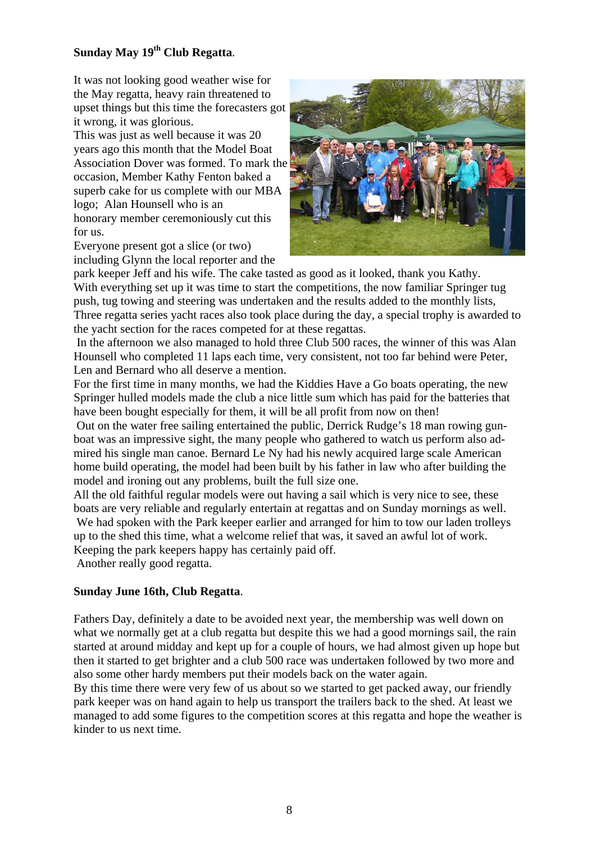#### **Sunday May 19th Club Regatta**.

It was not looking good weather wise for the May regatta, heavy rain threatened to upset things but this time the forecasters got it wrong, it was glorious.

This was just as well because it was 20 years ago this month that the Model Boat Association Dover was formed. To mark the occasion, Member Kathy Fenton baked a superb cake for us complete with our MBA logo; Alan Hounsell who is an honorary member ceremoniously cut this for us.

Everyone present got a slice (or two) including Glynn the local reporter and the



park keeper Jeff and his wife. The cake tasted as good as it looked, thank you Kathy. With everything set up it was time to start the competitions, the now familiar Springer tug push, tug towing and steering was undertaken and the results added to the monthly lists, Three regatta series yacht races also took place during the day, a special trophy is awarded to the yacht section for the races competed for at these regattas.

 In the afternoon we also managed to hold three Club 500 races, the winner of this was Alan Hounsell who completed 11 laps each time, very consistent, not too far behind were Peter, Len and Bernard who all deserve a mention.

For the first time in many months, we had the Kiddies Have a Go boats operating, the new Springer hulled models made the club a nice little sum which has paid for the batteries that have been bought especially for them, it will be all profit from now on then!

 Out on the water free sailing entertained the public, Derrick Rudge's 18 man rowing gunboat was an impressive sight, the many people who gathered to watch us perform also admired his single man canoe. Bernard Le Ny had his newly acquired large scale American home build operating, the model had been built by his father in law who after building the model and ironing out any problems, built the full size one.

All the old faithful regular models were out having a sail which is very nice to see, these boats are very reliable and regularly entertain at regattas and on Sunday mornings as well. We had spoken with the Park keeper earlier and arranged for him to tow our laden trolleys up to the shed this time, what a welcome relief that was, it saved an awful lot of work. Keeping the park keepers happy has certainly paid off.

Another really good regatta.

#### **Sunday June 16th, Club Regatta**.

Fathers Day, definitely a date to be avoided next year, the membership was well down on what we normally get at a club regatta but despite this we had a good mornings sail, the rain started at around midday and kept up for a couple of hours, we had almost given up hope but then it started to get brighter and a club 500 race was undertaken followed by two more and also some other hardy members put their models back on the water again.

By this time there were very few of us about so we started to get packed away, our friendly park keeper was on hand again to help us transport the trailers back to the shed. At least we managed to add some figures to the competition scores at this regatta and hope the weather is kinder to us next time.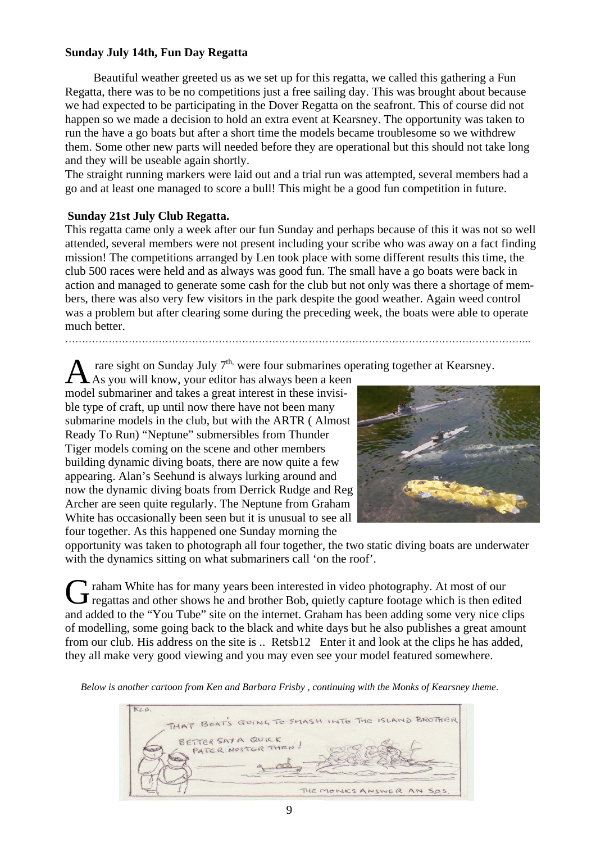#### **Sunday July 14th, Fun Day Regatta**

 Beautiful weather greeted us as we set up for this regatta, we called this gathering a Fun Regatta, there was to be no competitions just a free sailing day. This was brought about because we had expected to be participating in the Dover Regatta on the seafront. This of course did not happen so we made a decision to hold an extra event at Kearsney. The opportunity was taken to run the have a go boats but after a short time the models became troublesome so we withdrew them. Some other new parts will needed before they are operational but this should not take long and they will be useable again shortly.

The straight running markers were laid out and a trial run was attempted, several members had a go and at least one managed to score a bull! This might be a good fun competition in future.

#### **Sunday 21st July Club Regatta.**

This regatta came only a week after our fun Sunday and perhaps because of this it was not so well attended, several members were not present including your scribe who was away on a fact finding mission! The competitions arranged by Len took place with some different results this time, the club 500 races were held and as always was good fun. The small have a go boats were back in action and managed to generate some cash for the club but not only was there a shortage of members, there was also very few visitors in the park despite the good weather. Again weed control was a problem but after clearing some during the preceding week, the boats were able to operate much better.

…………………………………………………………………………………………………………………………..

rare sight on Sunday July  $7<sup>th</sup>$ , were four submarines operating together at Kearsney.

As you will know, your editor has always been a keen model submariner and takes a great interest in these invisible type of craft, up until now there have not been many submarine models in the club, but with the ARTR ( Almost Ready To Run) "Neptune" submersibles from Thunder Tiger models coming on the scene and other members building dynamic diving boats, there are now quite a few appearing. Alan's Seehund is always lurking around and now the dynamic diving boats from Derrick Rudge and Reg Archer are seen quite regularly. The Neptune from Graham White has occasionally been seen but it is unusual to see all four together. As this happened one Sunday morning the



opportunity was taken to photograph all four together, the two static diving boats are underwater with the dynamics sitting on what submariners call 'on the roof'.

G raham White has for many years been interested in video photography. At most of our regattas and other shows he and brother Bob, quietly capture footage which is then edited and added to the "You Tube" site on the internet. Graham has been adding some very nice clips of modelling, some going back to the black and white days but he also publishes a great amount from our club. His address on the site is .. Retsb12 Enter it and look at the clips he has added, they all make very good viewing and you may even see your model featured somewhere.

*Below is another cartoon from Ken and Barbara Frisby , continuing with the Monks of Kearsney theme*.

KEB. THAT BOAT'S GOING TO SMASH INTO THE ISLAND BROTHER BETTER SAY A QUICK PATER NOSTER THEN THE MONKS ANSWER AN SOS